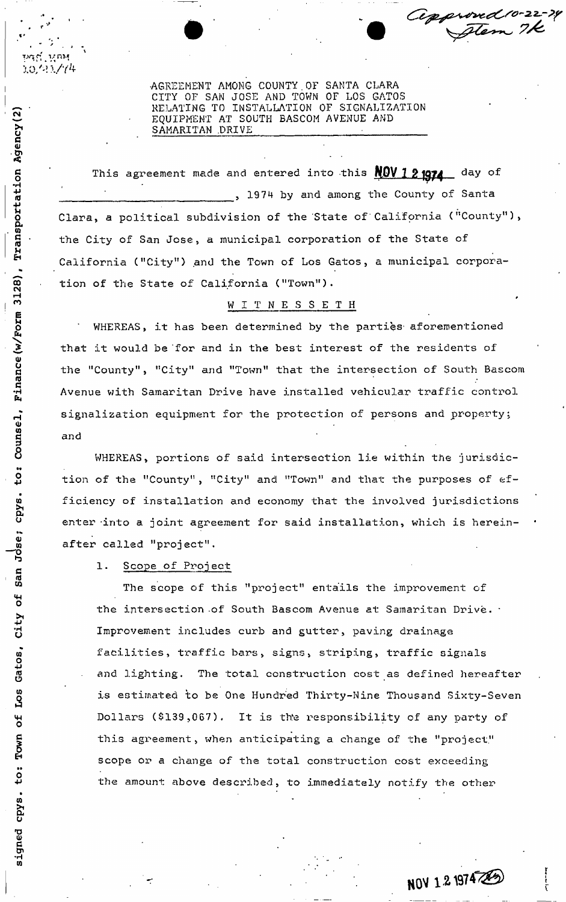SAMARITAN DRIVE AGREEMENT AMONG COUNTY.OF SANTA CLARA CITY OF SAN JOSE AND TOWN OF LOS GATOS RELATING TO INSTALLATION OF SIGNALIZATION EQUIPMENT AT SOUTH BASCOM AVENUE AND

This agreement made and entered into this  $NQV$  1 2 1074 day of  $H$  is a set of the set of the set of the set of the set of the set of the set of the set of the set of the set of the set of the set of the set of the set of the set of the set of the set of the set of the set of the set  $\frac{1}{6}$  , 1974 by and among the County of Santa Clara, a political subdivision of the State of California ("County"), the City of San Jose, a municipal corporation of the State of California ("City") and the Town of Los Gatos, a municipal corporation of the State of California ("Town").

## WITNESSETH

WHEREAS, it has been determined by the parties aforementioned that it would be for and in the best interest of the residents of  $\dot{\mathbf{y}}$ d the "County", "City" and "Town" that the intersection of South Bascom" Avenue with Samaritan Drive have installed vehicular traffic control signalization equipment for the protection of persons and property;  $\frac{6}{9}$  signalization equipment for the persons and persons and persons and property:  $\frac{6}{9}$ 

WHEREAS, portions of said intersection lie within the jurisdiction of the "County", "City" and "Town" and that the purposes of efficiency of installation and economy that the involved jurisdictions enter into a joint agreement for said installation, which is hereinafter called "project".

1. Scope of Project

The scope of this "project" entails the improvement of the intersection of South Bascom Avenue at Samaritan Drive. \* Improvement includes curb and gutter, paving drainage facilities, traffic bars, signs, striping, traffic signals and lighting. The total construction cost as defined hereafter is estimated to be One Hundred Thirty-Nine Thousand Sixty-Seven w Dollars (\$139,067). It is the responsibility of any party of this agreement, when anticipating a change of the "project" scope or a change of the total construction cost exceeding the amount above described, to immediately notify the other

NOV 1 2 1974 20

Cepproved 10-22-24

 $\mathbf{N}$ Agend <u>m</u> *u*  312<br>-E ≍. ru<br>C E,  $\mathbf{u}$ • م:<br>ت Jose; San ð City Los Gatos,

O

cpy:<br>C

W *c*  ່າ $\frac{1}{9}$ 

io/'? 1/7'+

be gʻining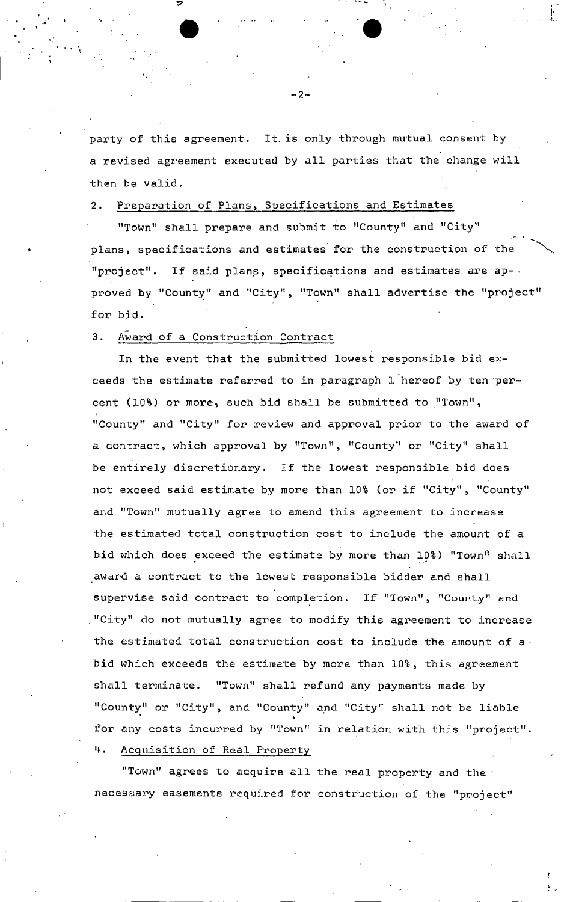party of this agreement. It. is only through mutual consent by a revised agreement executed by all parties that the change will then be valid.

2. Preparation of Plans, Specifications and Estimates

"Town" shall prepare and submit to "County" and "City" plans, specifications and estimates for the construction of the "project". If said plans, specifications and estimates are ap- . proved by "County" and "City", "Town" shall advertise the "project for bid.

3. Award of a Construction Contract

In the event that the submitted lowest responsible bid exceeds the estimate referred to in paragraph 1 hereof by ten percent (10%) or more, such bid shall be submitted to "Town", "County" and "City" for review and approval prior to the award of a contract, which approval by "Town", "County" or "City" shall be entirely discretionary. If the lowest responsible bid does not exceed said estimate by more than 10% (or if "City", "County" and "Town" mutually agree to amend this agreement to increase the estimated total construction cost to include the amount of a bid which does exceed the estimate by more than 10%) "Town" shall award a contract to the lowest responsible bidder and shall supervise said contract to completion. If "Town", "County" and ."City" do not mutually agree to modify this agreement to increase the estimated total construction cost to include the amount of a  $\cdot$ bid which exceeds the estimate by more than 10%, this agreement shall terminate. "Town" shall refund any payments made by "County" or "City", and "County" and "City" shall not be liable « for any costs incurred by "Town" in relation with this "project". . Acquisition of Real Property

"Town" agrees to acquire all the real property and the' necessary easements required for construction of the "project"

- 2-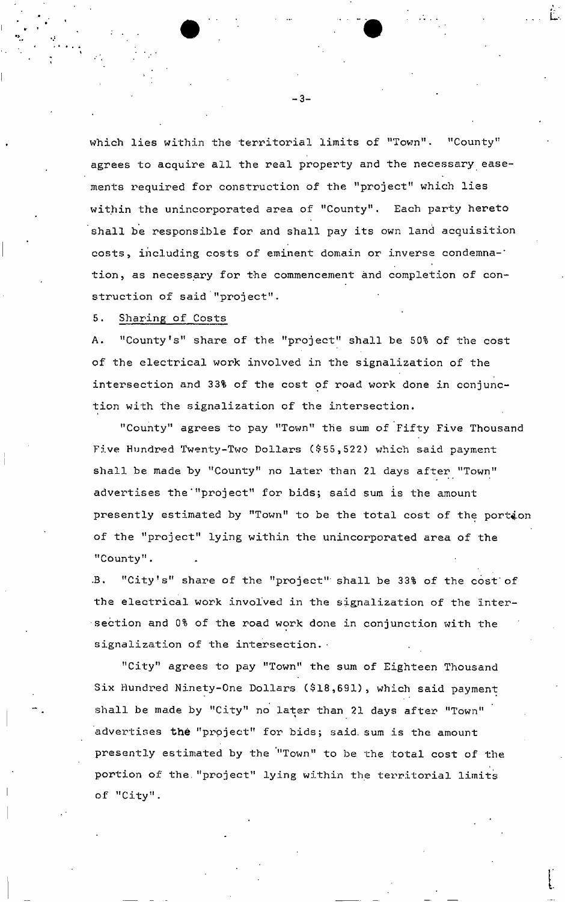which lies within the territorial limits of "Town". "County" agrees to acquire all the real property and the necessary easements required for construction of the "project" which lies within the unincorporated area of "County". Each party hereto shall be responsible for and shall pay its own land acquisition costs, including costs of eminent domain or inverse condemna-' tion, as necessary for the commencement and completion of construction of said "project".

## 5. Sharing of Costs

A. "County's" share of the "project" shall be 50% of the cost of the electrical work involved in the signalization of the intersection and 33% of the cost of road work done in conjunction with the signalization of the intersection.

"County" agrees to pay "Town" the sum of Fifty Five Thousand Five Hundred Twenty-Two Dollars (\$55,522) which said payment shall be made by "County" no later than 21 days after "Town" advertises the'"project" for bids; said sum is the amount presently estimated by "Town" to be the total cost of the portion of the "project" lying within the unincorporated area of the "County".

•B. "City's" share of the "project" shall be 33% of the cost of the electrical work involved in the signalization of the intersection and 0% of the road work done in conjunction with the signalization of the intersection.

"City" agrees to pay "Town" the sum of Eighteen Thousand Six Hundred Ninety-One Dollars (\$18,691), which said payment shall be made by "City" no later than 21 days after "Town" advertises the "project" for bids; said, sum is the amount presently estimated by the '"Town" to be the total cost of the portion of the."project" lying within the territorial limits of "City".

- 3-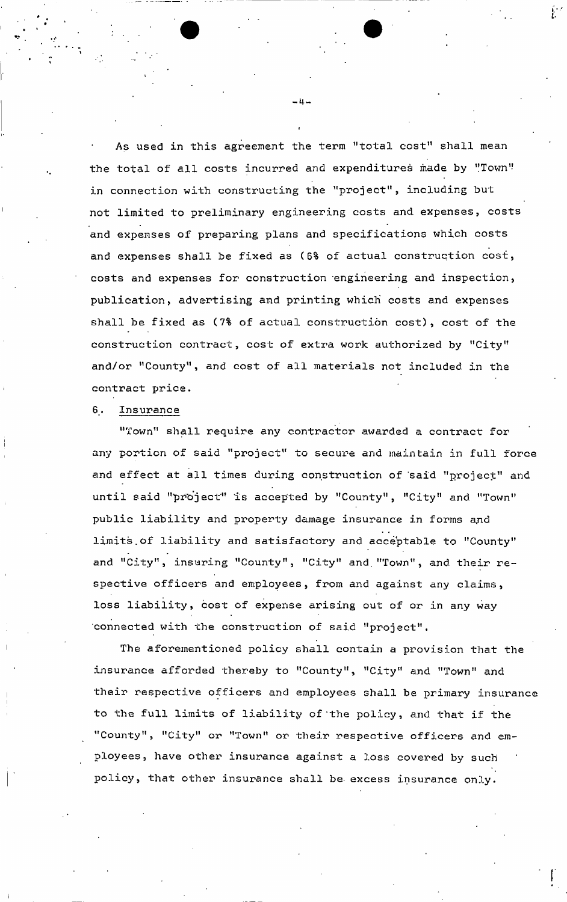As used in this agreement the term "total cost" shall mean the total of all costs incurred and expenditures made by "Town" in connection with constructing the "project", including but not limited to preliminary engineering costs and expenses, costs and expenses of preparing plans and specifications which costs and expenses shall be fixed as (6% of actual construction cost, costs and expenses for construction engineering and inspection, publication, advertising and printing which' costs and expenses shall be fixed as (7% of actual construction cost), cost of the construction contract, cost of extra work authorized by "City" and/or "County", and cost of all materials not included in the contract price.

## 6. Insurance

"Town" shall require any contractor awarded a contract for any portion of said "project" to secure and maintain in full force and effect at all times during construction of 'said "project" and until said "pr'o'ject" is accepted by "County", "City" and "Town" public liability and property damage insurance in forms and limits.of liability and satisfactory and acceptable to "County" and "City", insuring "County", "City" and."Town", and their respective officers and employees, from and against any claims, loss liability, cost of expense arising out of or in any way connected with the construction of said "project".

The aforementioned policy shall contain a provision that the insurance afforded thereby to "County", "City" and "Town" and their respective officers and employees shall be primary insurance to the full limits of liability of'the policy, and that if the "County", "City" or "Town" or their respective officers and employees, have other insurance against a loss covered by such policy, that other insurance shall be excess insurance only.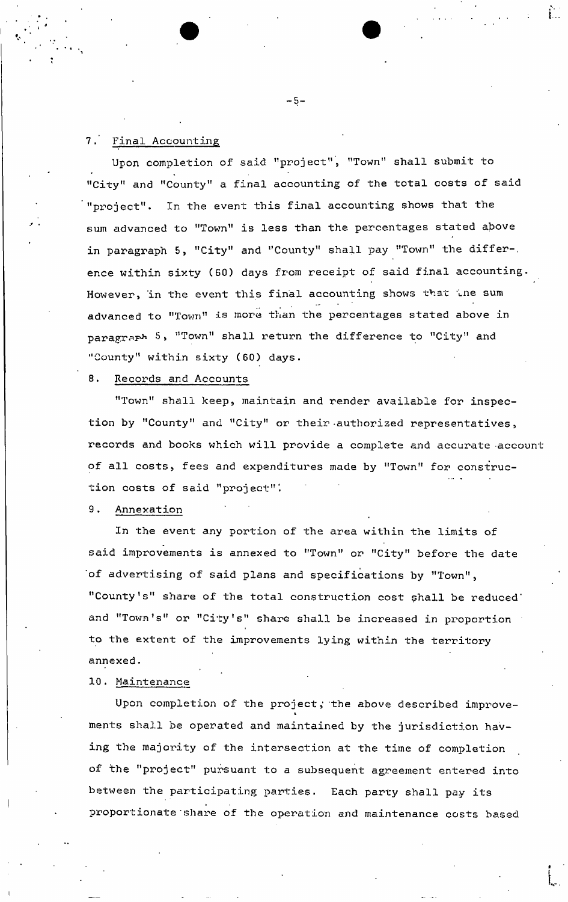## 7. Final Accounting

Upon completion of said "project", "Town" shall submit to "City" and "County" a final accounting of the total costs of said "project". In the event this final accounting shows that the sum advanced to "Town" is less than the percentages stated above in paragraph 5, "City" and "County" shall pay "Town" the differ-, ence within sixty (60) days from receipt of said final accounting. However, in the event this final accounting shows that the sum advanced to "Town" is more than the percentages stated above in paragraph 5, "Town" shall return the difference to "City" and "County" within sixty (60) days.

## 8. Records and Accounts

"Town" shall keep, maintain and render available for inspection by "County" and "City" or their authorized representatives, records and books which will provide a complete and accurate account of all costs, fees and expenditures made by "Town" for construction costs of said "project"'.

## 9. Annexation

In the event any portion of the area within the limits of said improvements is annexed to "Town" or "City" before the date 'of advertising of said plans and specifications by "Town", "County's" share of the total construction cost shall be reduced" and "Town's" or "City's" share shall be increased in proportion to the extent of the improvements lying within the territory annexed.

10. Maintenance

Upon completion of the project, the above described improve-\* ments shall be operated and maintained by the jurisdiction having the majority of the intersection at the time of completion of the "project" pursuant to a subsequent agreement entered into between the participating parties. Each party shall pay its proportionate'share of the operation and maintenance costs based

 $-5-$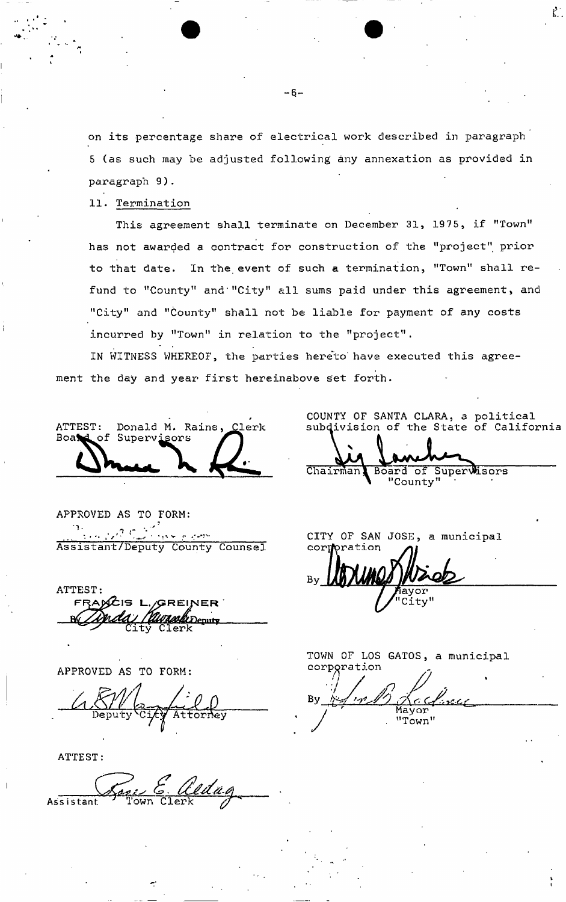on its percentage share of electrical work described in paragraph 5 (as such may be adjusted following any annexation as provided in paragraph 9).

11. Termination

t , k , <sup>e</sup>

This agreement shall terminate on December 31, 1975, if "Town" has not awarded a contract for construction of the "project" prior to that date. In the event of such a termination, "Town" shall refund to "County" and "City" all sums paid under this agreement, and "City" and "County" shall not be liable for payment of any costs incurred by "Town" in relation to the "project".

IN WITNESS WHEREOF, the parties hereto' have executed this agreement the day and year first hereinabove set forth.

ATTEST: Donald **M.** Rains, Clerk of Supervisors

APPROVED AS TO FORM:  $\mathcal{P}$   $\mathcal{C}$ 1  $\mathbf{r} \cdot \mathbf{v}$  (see ). Assistant/Deputy County Counsel

ATTEST: FRA**RCIS** L Wassell Deputy City Clerk

APPROVED AS TO FORM:

tornev

ATTEST:

Assistant Town Clerk

COUNTY OF SANTA CLARA, a political subdivision of the State of California

Chairman, Board of Supervisors "County" '

CITY OF SAN JOSE, a municipal cori

TOWN OF LOS GATOS, a municipal corporation

 $Bv$ Mayor "Town"

V I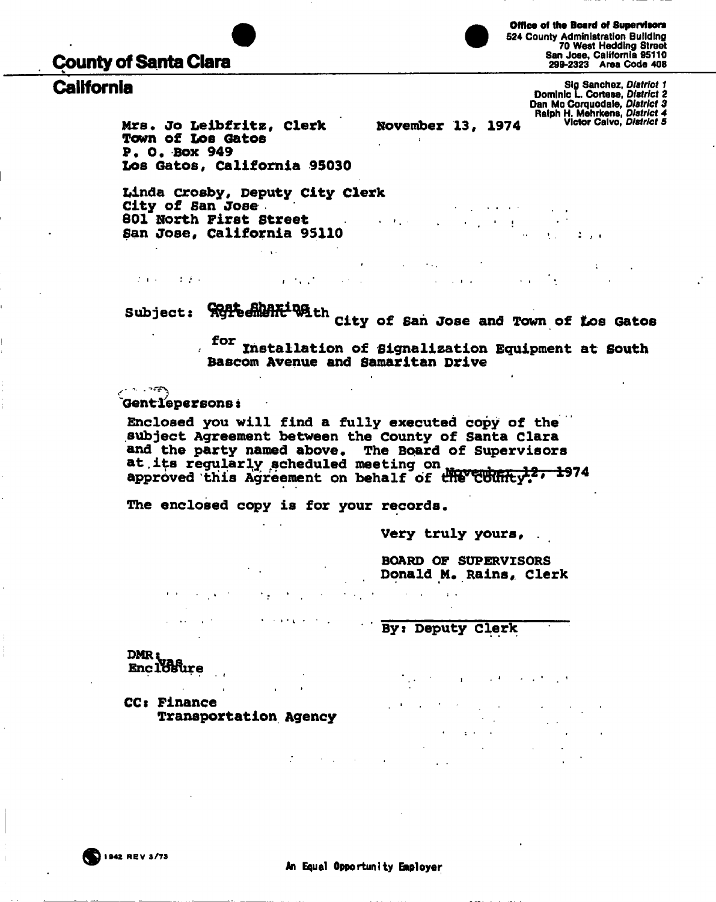# **County of Santa Clara**

**Office of the Board of Supervisors 524 County Administration Building 70 West Hedding Street San Jose, California 95110 299-2323 Area Code 408** 

**rights and Slg Sanchez,** *District 1* **<b>California** Sig Sanchez, *District 1 Dominic L. Cortese, District 2* **Dan Mc Corquodale,** *District 3* **Ralph H. Mehrkens,** *District 4* 

**Mrs. Jo Leibfritz, Clerk and November 13, 1974 victor**<br>Town of Los Gatos **Town of LOB Gatos P. O. Box 949 Los Gatos, California 95030** 

**Xilnda Crosby, Deputy City Clerk City of San Jose 801 North First Street**   $\mathcal{L}^{\mathcal{L}}$  and  $\mathcal{L}^{\mathcal{L}}$  and  $\mathcal{L}^{\mathcal{L}}$  and  $\mathcal{L}^{\mathcal{L}}$ **San Jose, California 95110** 

 $\mathcal{L}^{\text{max}}$ 

 $\mathbf{r}^{\left(1,1\right)},\mathbf{r}^{\left(2,1\right)}$ 

Subject: **Witten fit with city of fan Jose and Town of t City of San Jose and Town of Los Gatos** 

 $\mathbf{r} = \mathbf{r} \times \mathbf{r}$  , where  $\mathbf{r}$ 

 $\sim 100$ 

**for Installation of Signalization Equipment at South Bascom Avenue and Samaritan Drive** 

and the company of

 $\sim 10^{-1}$ 

and the control of the con-

' ' V **Gentlepersons s** 

**CALL TOPA** 

 $\mathcal{L}$  and  $\mathcal{L}$  are  $\mathcal{L}=\mathcal{L}$  . As in

**Enclosed you will find a fully executed copy of the subject Agreement between the County of Santa Clara and the party named above. The Board of Supervisors at,its regularly scheduled meeting on .. . " approved this Agreement on behalf of fltfWt^<sup>2</sup>' 197 4** 

 $\mathcal{L}(\mathcal{A})$  ,  $\mathcal{L}(\mathcal{A})$ 

**The enclosed copy is for your records.** 

**KIND OF BUILDING** 

**Very truly yours, .** 

**BOARD OF SUPERVISORS**  Donald M. Rains, Clerk

**By: Deputy Clerk** 

 $\sim 10$  .

 $\sim 10^{11}$  km  $^{-1}$ 

18kure **DMR EnclTCftire** 

**Contract** 

CCk **Finance Transportation Agency** 

**Contract Contract**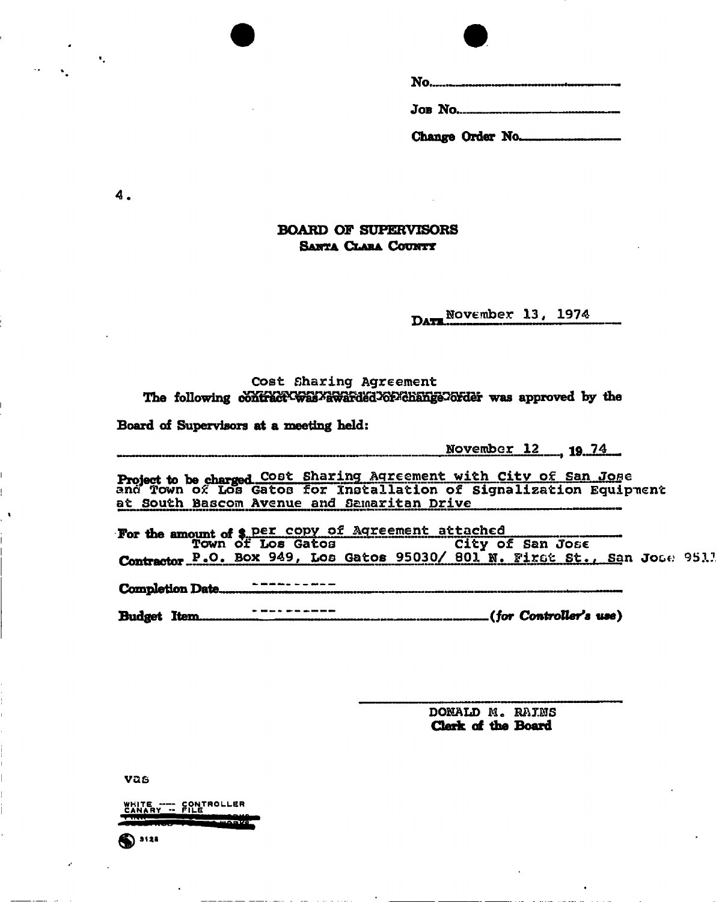## **BOARD OF SUPERVISORS SANTA CLAHA COUNTY**

**DATE NOVEMber 13, 1974** 

#### **Cost Sharing Agreement**  The following contract was *x*awarded or change order was approved by the

**Board of Supervisors at a meeting held:** 

**November 12 19 74** 

**Project to be charged COSt Sharing Agreement with City of San Jose ana Town of Los Gatos for Installation of Signalization Equipment at South Bascom Avenue and Samaritan Drive** 

For the amount of \$, Per copy or Agreement attached **Town of Los Gatos City of San Jose**  Contractor P.O. Box 949, Los Gatos 95030/ 801 N. First St., San Jose 951?

**Completion Date ..................................** 

**Budget Item (/or Controller's use)** 

**DONALD M. RAINS Clerk of the Board** 

**vas** 

**® ""** 

WHITE ---- CONTROLLER<br>Canary -- File

**4.** 

 $\P$  .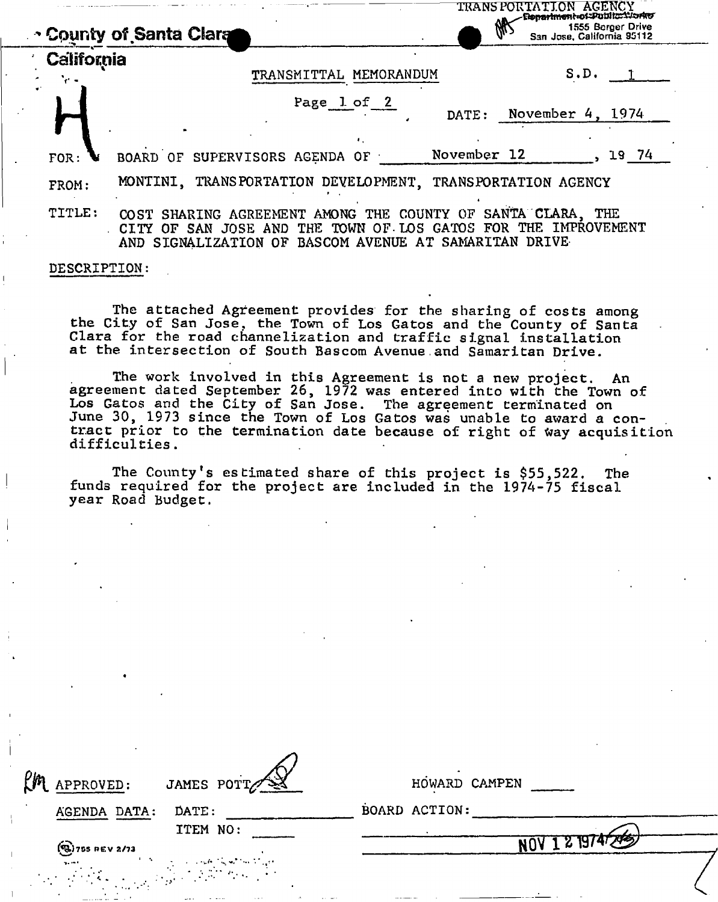|            | <b>TRANS PORTATION AGENCY</b><br>Elepanment of Public Norte<br>1555 Berger Drive<br>San Jose, California 95112<br>↑ County of Santa Clara                                                                    |
|------------|--------------------------------------------------------------------------------------------------------------------------------------------------------------------------------------------------------------|
| California | S.D.<br>TRANSMITTAL MEMORANDUM                                                                                                                                                                               |
|            | Page 1 of 2<br>November 4, 1974<br>DATE:                                                                                                                                                                     |
| FOR:       | November 12<br>19 74<br>BOARD OF SUPERVISORS AGENDA OF                                                                                                                                                       |
| FROM:      | MONTINI. TRANSPORTATION DEVELOPMENT. TRANSPORTATION AGENCY                                                                                                                                                   |
| TITLE:     | SANTA CLARA, THE<br>SHARING AGREEMENT AMONG THE COUNTY OF<br>CO ST<br>THE IMPROVEMENT<br>FOR<br>THE TOWN OF LOS GATOS<br>JOSE AND<br>CITY OF<br>SAN<br>AND SIGNALIZATION OF BASCOM AVENUE AT SAMARITAN DRIVE |

#### **DESCRIPTION:**

**The attached Agreement provides for the sharing of costs among the City of San Jose, the Town of Los Gatos and the County of Santa Clara for the road channelization and traffic signal installation at the intersection of South Bascom Avenue.and Samaritan Drive.** 

**The work involved in this Agreement is not a new project. An agreement dated September 26, 1972 was entered into with the Town of Los Gatos and the City of San Jose. The agreement terminated on**  June 30, 1973 since the Town of Los Gatos was unable to award a contract prior to the termination date because of right of way acquisition difficulties.

**The County<sup>1</sup>s estimated share of this project is \$55,522. The funds required for the project are included in the 1974-75 fiscal year Road Budget.** 

| EM APPROVED:<br>JAMES POTT                                                                                       | HOWARD CAMPEN |  |  |
|------------------------------------------------------------------------------------------------------------------|---------------|--|--|
| DATE:<br>AGENDA DATA:                                                                                            | BOARD ACTION: |  |  |
| ITEM NO:                                                                                                         |               |  |  |
| $(9)$ 755 REV 2/73                                                                                               | 121974743     |  |  |
| $\alpha$ , and the second contracts<br>$\mathbf{q}_1$ and<br>$\mathcal{A}$ , where $\mathcal{A}$ , $\mathcal{A}$ |               |  |  |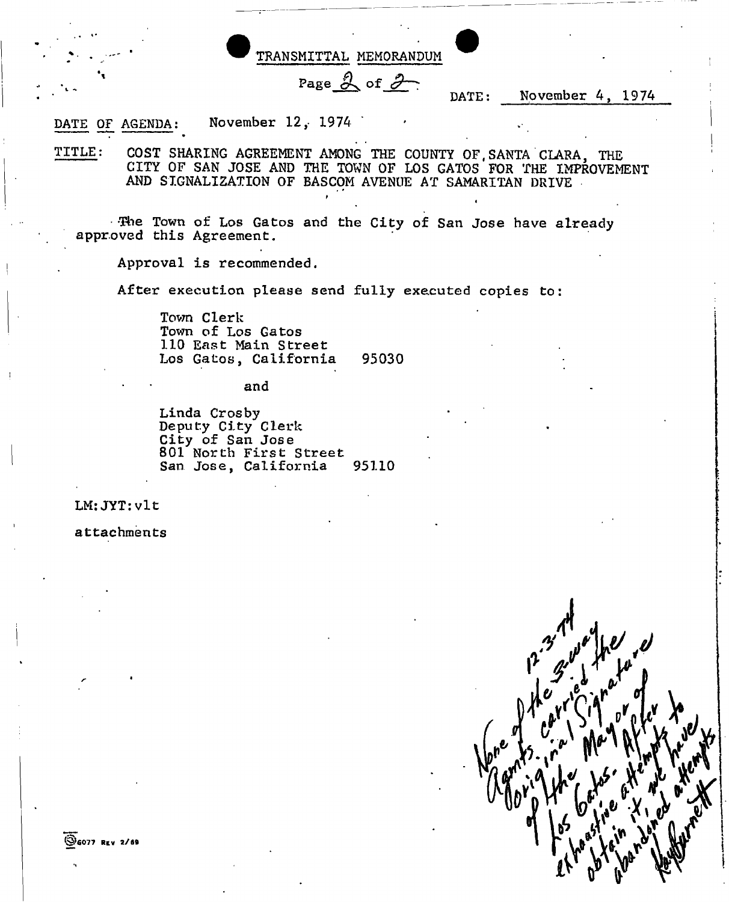

DATE OF AGENDA: November 12, 1974

**TITLE: COST SHARING AGREEMENT AMONG THE COUNTY OF,SANTA CLARA, THE CITY OF SAN JOSE AND THE TOWN OF LOS GATOS FOR THE IMPROVEMENT AND SIGNALIZATION OF BASCOM AVENUE AT SAMARITAN DRIVE** 

«

**The Town of Los Gatos and the City of San Jose have already approved this Agreement.** 

**Approval is recommended.** 

**After execution please send fully executed copies to:** 

Town Clerk **Town of Los Gatos 110 East Main Street Los Gatos, California 95030** 

**and** 

**Linda Crosby Deputy City Clerk City of San Jose 801 North First Street**  San Jose, California

**LM: JYT:vlt** 

**attachments**